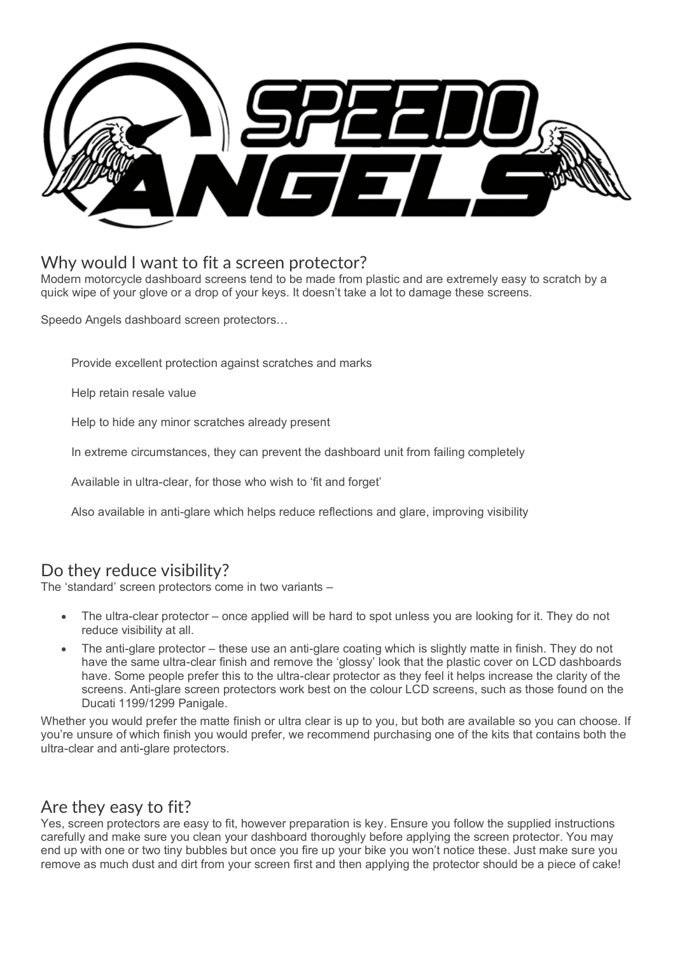

## Why would I want to fit a screen protector?

Modern motorcycle dashboard screens tend to be made from plastic and are extremely easy to scratch by a quick wipe of your glove or a drop of your keys. It doesn't take a lot to damage these screens.

Speedo Angels dashboard screen protectors…

Provide excellent protection against scratches and marks

Help retain resale value

Help to hide any minor scratches already present

In extreme circumstances, they can prevent the dashboard unit from failing completely

Available in ultra-clear, for those who wish to 'fit and forget'

Also available in anti-glare which helps reduce reflections and glare, improving visibility

## Do they reduce visibility?

The 'standard' screen protectors come in two variants –

- The ultra-clear protector once applied will be hard to spot unless you are looking for it. They do not reduce visibility at all.
- The anti-glare protector these use an anti-glare coating which is slightly matte in finish. They do not have the same ultra-clear finish and remove the 'glossy' look that the plastic cover on LCD dashboards have. Some people prefer this to the ultra-clear protector as they feel it helps increase the clarity of the screens. Anti-glare screen protectors work best on the colour LCD screens, such as those found on the Ducati 1199/1299 Panigale.

Whether you would prefer the matte finish or ultra clear is up to you, but both are available so you can choose. If you're unsure of which finish you would prefer, we recommend purchasing one of the kits that contains both the ultra-clear and anti-glare protectors.

## Are they easy to fit?

Yes, screen protectors are easy to fit, however preparation is key. Ensure you follow the supplied instructions carefully and make sure you clean your dashboard thoroughly before applying the screen protector. You may end up with one or two tiny bubbles but once you fire up your bike you won't notice these. Just make sure you remove as much dust and dirt from your screen first and then applying the protector should be a piece of cake!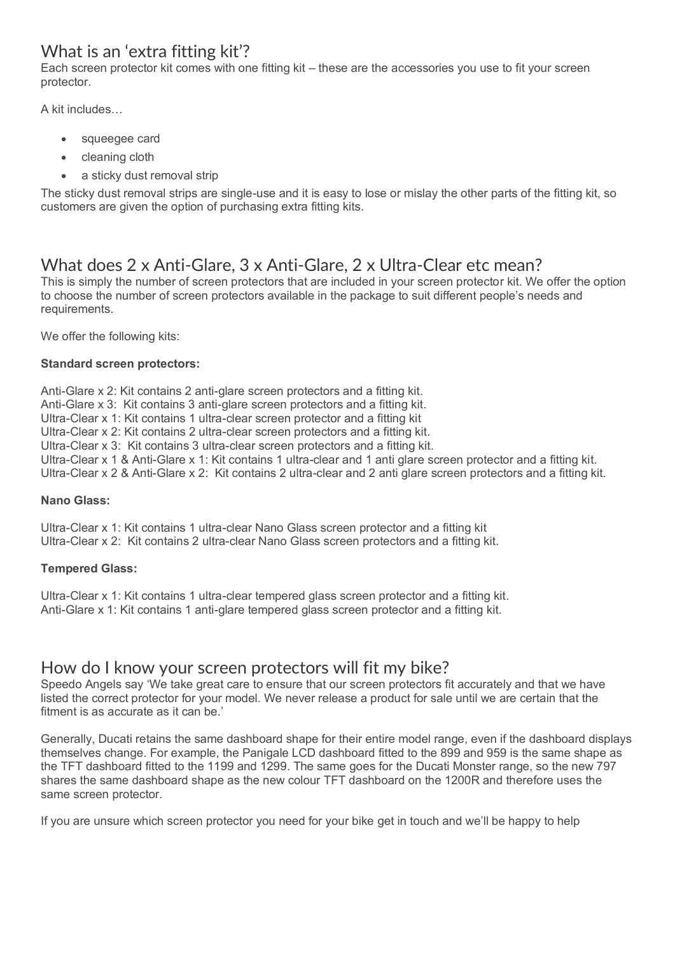# What is an 'extra fitting kit'?

Each screen protector kit comes with one fitting kit – these are the accessories you use to fit your screen protector.

A kit includes…

- squeegee card
- cleaning cloth
- a sticky dust removal strip

The sticky dust removal strips are single-use and it is easy to lose or mislay the other parts of the fitting kit, so customers are given the option of purchasing extra fitting kits.

# What does 2 x Anti-Glare, 3 x Anti-Glare, 2 x Ultra-Clear etc mean?

This is simply the number of screen protectors that are included in your screen protector kit. We offer the option to choose the number of screen protectors available in the package to suit different people's needs and requirements.

We offer the following kits:

#### **Standard screen protectors:**

Anti-Glare x 2: Kit contains 2 anti-glare screen protectors and a fitting kit. Anti-Glare x 3: Kit contains 3 anti-glare screen protectors and a fitting kit. Ultra-Clear x 1: Kit contains 1 ultra-clear screen protector and a fitting kit Ultra-Clear x 2: Kit contains 2 ultra-clear screen protectors and a fitting kit. Ultra-Clear x 3: Kit contains 3 ultra-clear screen protectors and a fitting kit. Ultra-Clear x 1 & Anti-Glare x 1: Kit contains 1 ultra-clear and 1 anti glare screen protector and a fitting kit. Ultra-Clear x 2 & Anti-Glare x 2: Kit contains 2 ultra-clear and 2 anti glare screen protectors and a fitting kit.

#### **Nano Glass:**

Ultra-Clear x 1: Kit contains 1 ultra-clear Nano Glass screen protector and a fitting kit Ultra-Clear x 2: Kit contains 2 ultra-clear Nano Glass screen protectors and a fitting kit.

#### **Tempered Glass:**

Ultra-Clear x 1: Kit contains 1 ultra-clear tempered glass screen protector and a fitting kit. Anti-Glare x 1: Kit contains 1 anti-glare tempered glass screen protector and a fitting kit.

## How do I know your screen protectors will fit my bike?

Speedo Angels say 'We take great care to ensure that our screen protectors fit accurately and that we have listed the correct protector for your model. We never release a product for sale until we are certain that the fitment is as accurate as it can be.'

Generally, Ducati retains the same dashboard shape for their entire model range, even if the dashboard displays themselves change. For example, the Panigale LCD dashboard fitted to the 899 and 959 is the same shape as the TFT dashboard fitted to the 1199 and 1299. The same goes for the Ducati Monster range, so the new 797 shares the same dashboard shape as the new colour TFT dashboard on the 1200R and therefore uses the same screen protector.

If you are unsure which screen protector you need for your bike get in touch and we'll be happy to help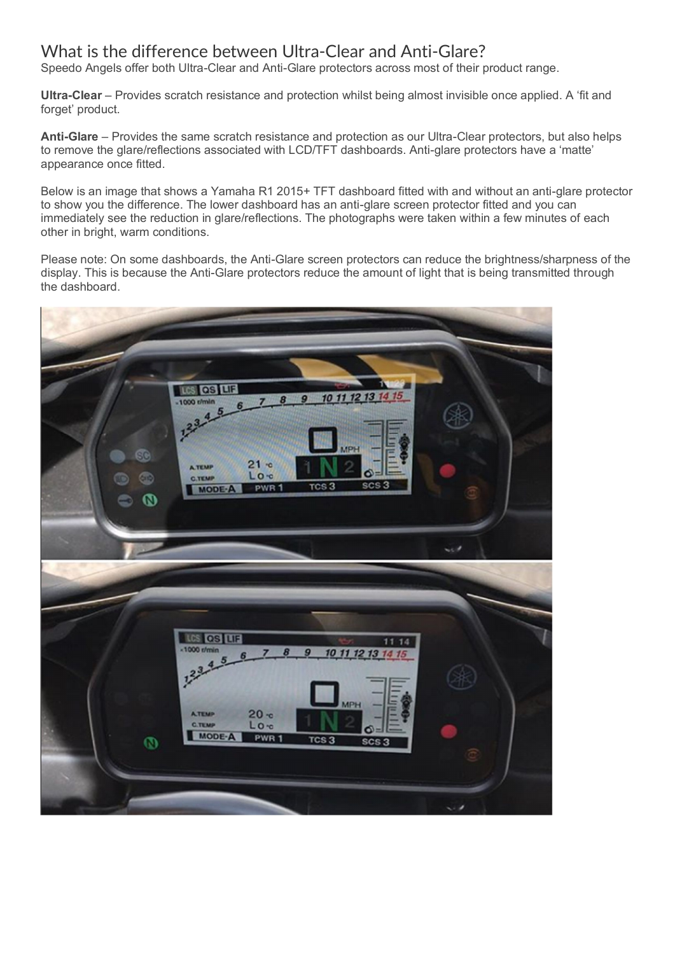# What is the difference between Ultra-Clear and Anti-Glare?

Speedo Angels offer both Ultra-Clear and Anti-Glare protectors across most of their product range.

**Ultra-Clear** – Provides scratch resistance and protection whilst being almost invisible once applied. A 'fit and forget' product.

**Anti-Glare** – Provides the same scratch resistance and protection as our Ultra-Clear protectors, but also helps to remove the glare/reflections associated with LCD/TFT dashboards. Anti-glare protectors have a 'matte' appearance once fitted.

Below is an image that shows a Yamaha R1 2015+ TFT dashboard fitted with and without an anti-glare protector to show you the difference. The lower dashboard has an anti-glare screen protector fitted and you can immediately see the reduction in glare/reflections. The photographs were taken within a few minutes of each other in bright, warm conditions.

Please note: On some dashboards, the Anti-Glare screen protectors can reduce the brightness/sharpness of the display. This is because the Anti-Glare protectors reduce the amount of light that is being transmitted through the dashboard.